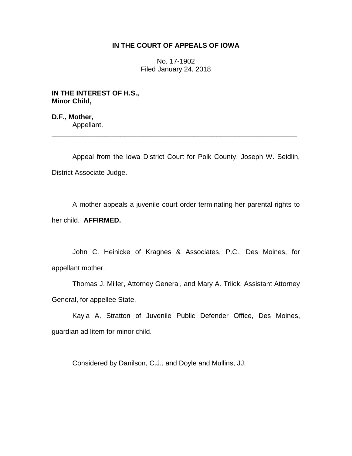## **IN THE COURT OF APPEALS OF IOWA**

No. 17-1902 Filed January 24, 2018

**IN THE INTEREST OF H.S., Minor Child,**

**D.F., Mother,** Appellant. \_\_\_\_\_\_\_\_\_\_\_\_\_\_\_\_\_\_\_\_\_\_\_\_\_\_\_\_\_\_\_\_\_\_\_\_\_\_\_\_\_\_\_\_\_\_\_\_\_\_\_\_\_\_\_\_\_\_\_\_\_\_\_\_

Appeal from the Iowa District Court for Polk County, Joseph W. Seidlin, District Associate Judge.

A mother appeals a juvenile court order terminating her parental rights to her child. **AFFIRMED.** 

John C. Heinicke of Kragnes & Associates, P.C., Des Moines, for appellant mother.

Thomas J. Miller, Attorney General, and Mary A. Triick, Assistant Attorney General, for appellee State.

Kayla A. Stratton of Juvenile Public Defender Office, Des Moines, guardian ad litem for minor child.

Considered by Danilson, C.J., and Doyle and Mullins, JJ.